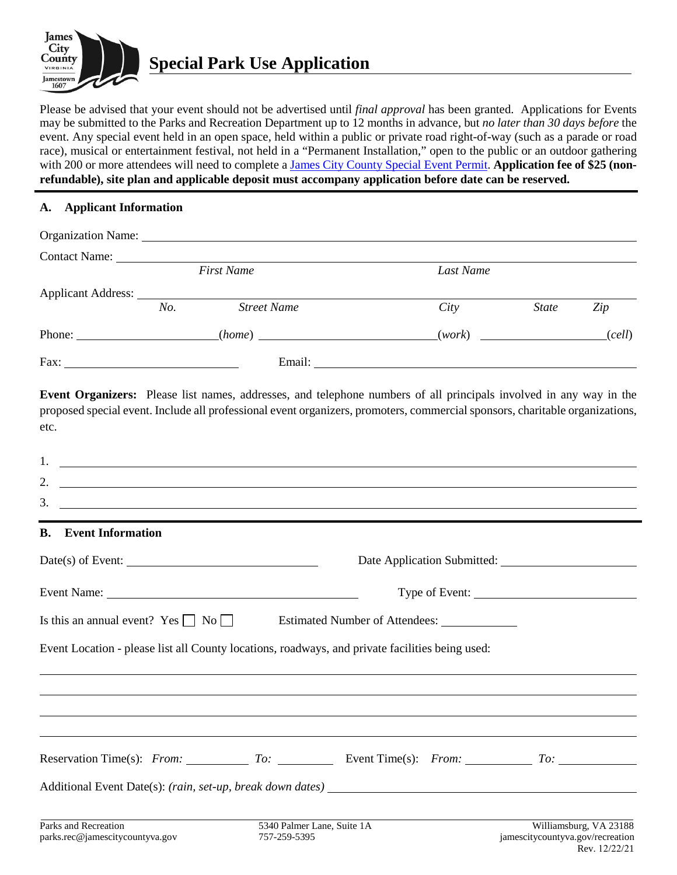

Please be advised that your event should not be advertised until *final approval* has been granted. Applications for Events may be submitted to the Parks and Recreation Department up to 12 months in advance, but *no later than 30 days before* the event. Any special event held in an open space, held within a public or private road right-of-way (such as a parade or road race), musical or entertainment festival, not held in a "Permanent Installation," open to the public or an outdoor gathering with 200 or more attendees will need to complete [a James City County Special Event Permit.](https://www.jamescitycountyva.gov/DocumentCenter/View/5160) **Application fee of \$25 (nonrefundable), site plan and applicable deposit must accompany application before date can be reserved.**

## **A. Applicant Information**

| Contact Name: Name: |                   |                    |           |              |        |
|---------------------|-------------------|--------------------|-----------|--------------|--------|
|                     | <b>First Name</b> |                    | Last Name |              |        |
|                     |                   |                    |           |              |        |
|                     | No.               | <b>Street Name</b> | City      | <b>State</b> | Zip    |
|                     |                   | (home)             | (work)    |              | (cell) |
|                     |                   | Email:             |           |              |        |

**Event Organizers:** Please list names, addresses, and telephone numbers of all principals involved in any way in the proposed special event. Include all professional event organizers, promoters, commercial sponsors, charitable organizations, etc.

| 1.<br><u> Louis Communication and Communication and Communication and Communication and Communication and Communication</u> |                                            |                                |                                                            |
|-----------------------------------------------------------------------------------------------------------------------------|--------------------------------------------|--------------------------------|------------------------------------------------------------|
| 2.<br><u> 1990 - Jan Barbara (j. 1980)</u>                                                                                  |                                            |                                |                                                            |
| 3.<br><u> 1999 - Jan Barbara, martxa al II-lea (h. 1989).</u>                                                               |                                            |                                |                                                            |
| <b>B.</b><br><b>Event Information</b>                                                                                       |                                            |                                |                                                            |
| $Date(s)$ of Event:                                                                                                         |                                            |                                |                                                            |
|                                                                                                                             |                                            |                                |                                                            |
| Is this an annual event? Yes $\Box$ No $\Box$                                                                               |                                            | Estimated Number of Attendees: |                                                            |
| Event Location - please list all County locations, roadways, and private facilities being used:                             |                                            |                                |                                                            |
|                                                                                                                             |                                            |                                |                                                            |
|                                                                                                                             |                                            |                                |                                                            |
| Reservation Time(s): From: To: To: Event Time(s): From: To: To:                                                             |                                            |                                |                                                            |
|                                                                                                                             |                                            |                                |                                                            |
| Parks and Recreation<br>parks.rec@jamescitycountyva.gov                                                                     | 5340 Palmer Lane, Suite 1A<br>757-259-5395 |                                | Williamsburg, VA 23188<br>jamescitycountyva.gov/recreation |

Rev. 12/22/21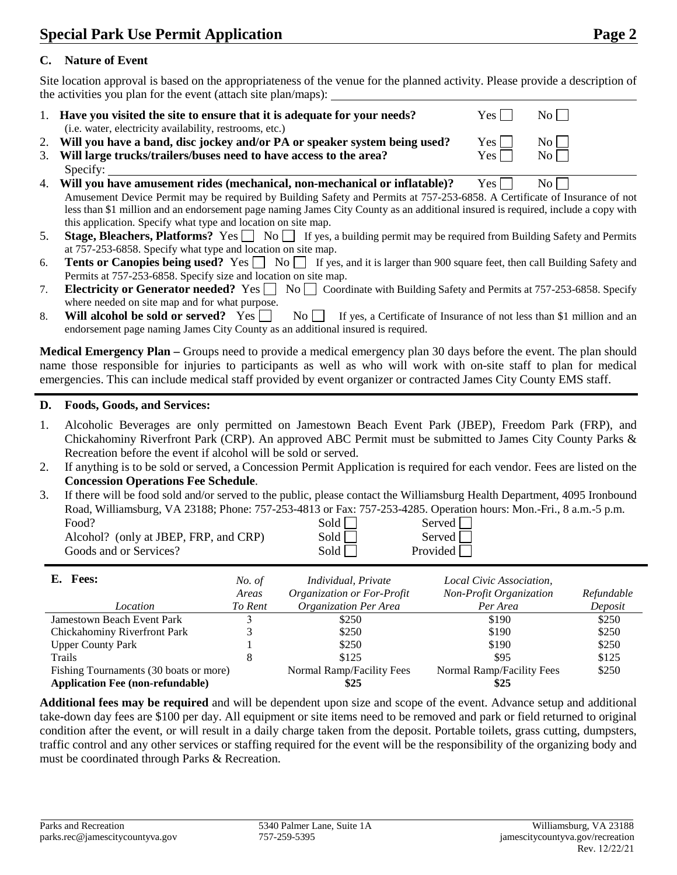## **C. Nature of Event**

Site location approval is based on the appropriateness of the venue for the planned activity. Please provide a description of the activities you plan for the event (attach site plan/maps):

- 1. **Have you visited the site to ensure that it is adequate for your needs?** Yes  $\Box$  No  $\Box$ (i.e. water, electricity availability, restrooms, etc.)
- 2. Will you have a band, disc jockey and/or PA or speaker system being used? Yes  $\Box$  No 3. **Will large trucks/trailers/buses need to have access to the area?** Yes No Specify:
- 4. **Will you have amusement rides (mechanical, non-mechanical or inflatable)?** Yes  $\Box$  No [ Amusement Device Permit may be required by Building Safety and Permits at 757-253-6858. A Certificate of Insurance of not less than \$1 million and an endorsement page naming James City County as an additional insured is required, include a copy with this application. Specify what type and location on site map.
- 5. **Stage, Bleachers, Platforms?** Yes  $\Box$  No  $\Box$  If yes, a building permit may be required from Building Safety and Permits at 757-253-6858. Specify what type and location on site map.
- 6. **Tents or Canopies being used?** Yes  $\Box$  No  $\Box$  If yes, and it is larger than 900 square feet, then call Building Safety and Permits at 757-253-6858. Specify size and location on site map.
- 7. **Electricity or Generator needed?** Yes  $\Box$  No  $\Box$  Coordinate with Building Safety and Permits at 757-253-6858. Specify where needed on site map and for what purpose.
- 8. **Will alcohol be sold or served?** Yes  $\Box$  No  $\Box$  If yes, a Certificate of Insurance of not less than \$1 million and an endorsement page naming James City County as an additional insured is required.

**Medical Emergency Plan –** Groups need to provide a medical emergency plan 30 days before the event. The plan should name those responsible for injuries to participants as well as who will work with on-site staff to plan for medical emergencies. This can include medical staff provided by event organizer or contracted James City County EMS staff.

## **D. Foods, Goods, and Services:**

- 1. Alcoholic Beverages are only permitted on Jamestown Beach Event Park (JBEP), Freedom Park (FRP), and Chickahominy Riverfront Park (CRP). An approved ABC Permit must be submitted to James City County Parks & Recreation before the event if alcohol will be sold or served.
- 2. If anything is to be sold or served, a Concession Permit Application is required for each vendor. Fees are listed on the **Concession Operations Fee Schedule**.
- 3. If there will be food sold and/or served to the public, please contact the Williamsburg Health Department, 4095 Ironbound Road, Williamsburg, VA 23188; Phone: 757-253-4813 or Fax: 757-253-4285. Operation hours: Mon.-Fri., 8 a.m.-5 p.m.

| Food?                                 | Sold | Served   |
|---------------------------------------|------|----------|
| Alcohol? (only at JBEP, FRP, and CRP) | Sold | Served   |
| Goods and or Services?                | Sold | Provided |

| <b>Fees:</b><br>Е.                      | No. of  | Individual, Private        | Local Civic Association,  |            |
|-----------------------------------------|---------|----------------------------|---------------------------|------------|
|                                         | Areas   | Organization or For-Profit | Non-Profit Organization   | Refundable |
| Location                                | To Rent | Organization Per Area      | Per Area                  | Deposit    |
| <b>Jamestown Beach Event Park</b>       |         | \$250                      | \$190                     | \$250      |
| Chickahominy Riverfront Park            |         | \$250                      | \$190                     | \$250      |
| <b>Upper County Park</b>                |         | \$250                      | \$190                     | \$250      |
| Trails                                  |         | \$125                      | \$95                      | \$125      |
| Fishing Tournaments (30 boats or more)  |         | Normal Ramp/Facility Fees  | Normal Ramp/Facility Fees | \$250      |
| <b>Application Fee (non-refundable)</b> |         | \$25                       | \$25                      |            |

**Additional fees may be required** and will be dependent upon size and scope of the event. Advance setup and additional take-down day fees are \$100 per day. All equipment or site items need to be removed and park or field returned to original condition after the event, or will result in a daily charge taken from the deposit. Portable toilets, grass cutting, dumpsters, traffic control and any other services or staffing required for the event will be the responsibility of the organizing body and must be coordinated through Parks & Recreation.